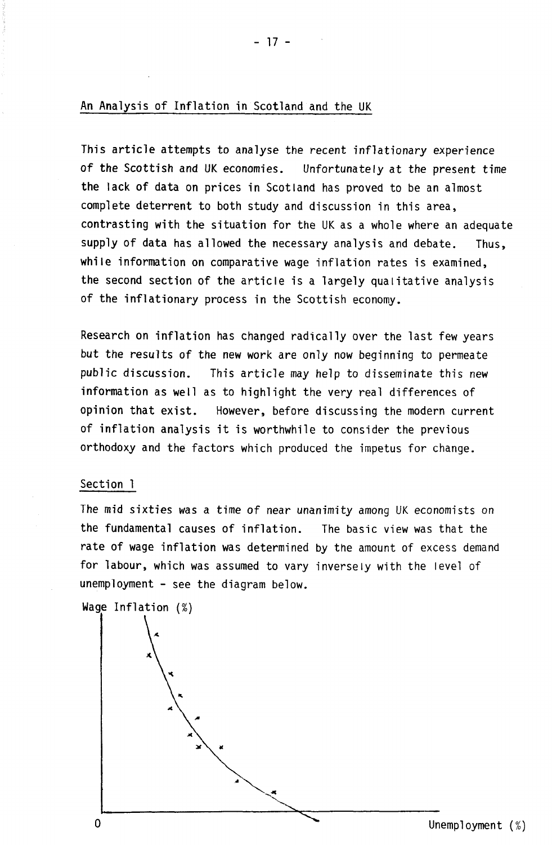## An Analysis of Inflation in Scotland and the UK

This article attempts to analyse the recent inflationary experience of the Scottish and UK economies. Unfortunately at the present time the lack of data on prices in Scotland has proved to be an almost complete deterrent to both study and discussion in this area, contrasting with the situation for the UK as a whole where an adequate supply of data has allowed the necessary analysis and debate. Thus, while information on comparative wage inflation rates is examined, the second section of the article is a largely qualitative analysis of the inflationary process in the Scottish economy.

- 17 -

Research on inflation has changed radically over the last few years but the results of the new work are only now beginning to permeate public discussion. This article may help to disseminate this new information as well as to highlight the very real differences of opinion that exist. However, before discussing the modern current of inflation analysis it is worthwhile to consider the previous orthodoxy and the factors which produced the impetus for change.

#### Section 1

The mid sixties was a time of near unanimity among UK economists on the fundamental causes of inflation. The basic view was that the rate of wage inflation was determined by the amount of excess demand for labour, which was assumed to vary inversely with the level of unemployment - see the diagram below.

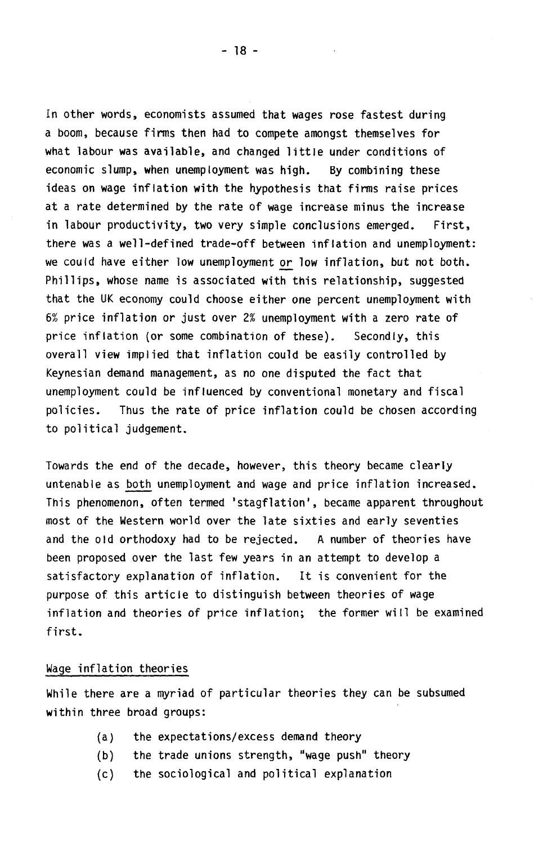In other words, economists assumed that wages rose fastest during a boom, because firms then had to compete amongst themselves for what labour was available, and changed little under conditions of economic slump, when unemployment was high. By combining these ideas on wage inflation with the hypothesis that firms raise prices at a rate determined by the rate of wage increase minus the increase in labour productivity, two very simple conclusions emerged. First, there was a well-defined trade-off between inflation and unemployment: we could have either low unemployment or low inflation, but not both. Phillips, whose name is associated with this relationship, suggested that the UK economy could choose either one percent unemployment with 6% price inflation or just over 2% unemployment with a zero rate of price inflation (or some combination of these). Secondly, this overall view implied that inflation could be easily controlled by Keynesian demand management, as no one disputed the fact that unemployment could be influenced by conventional monetary and fiscal policies. Thus the rate of price inflation could be chosen according to political judgement.

Towards the end of the decade, however, this theory became clearly untenable as both unemployment and wage and price inflation increased. This phenomenon, often termed 'stagflation', became apparent throughout most of the Western world over the late sixties and early seventies and the old orthodoxy had to be rejected. A number of theories have been proposed over the last few years in an attempt to develop a satisfactory explanation of inflation. It is convenient for the purpose of this article to distinguish between theories of wage inflation and theories of price inflation; the former will be examined first.

#### Wage inflation theories

While there are a myriad of particular theories they can be subsumed within three broad groups:

- (a) the expectations/excess demand theory
- (b) the trade unions strength, "wage push" theory
- (c) the sociological and political explanation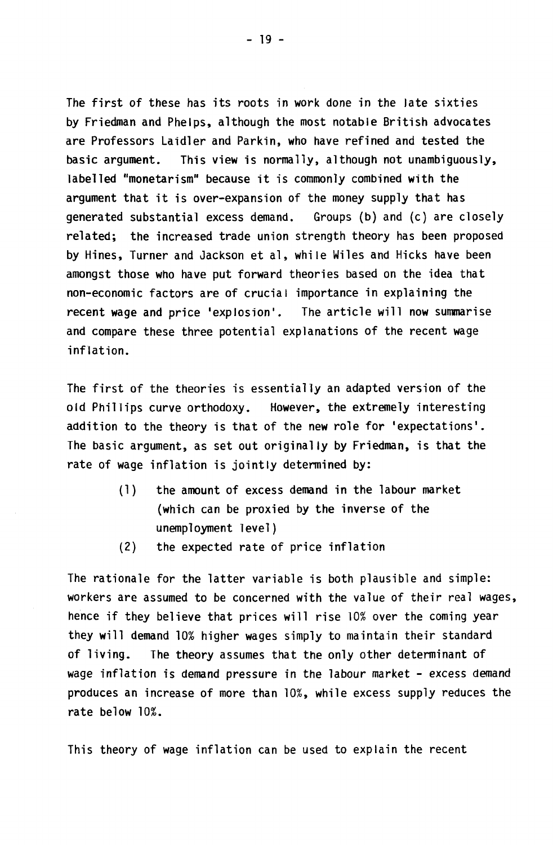**The fi**r**st** o**f these has its r**oo**ts in work d**o**ne in the late sixties by F**r**iedman and Phelps, alth**o**ugh the m**o**st n**o**table B**r**itish adv**oc**ates a**r**e P**ro**fess**or**s Laidle**r **and Pa**r**kin, wh**o **have** r**efined and tested the basi**c **a**r**gume**n**t. This view is n**or**mally, alth**o**ugh n**o**t unambigu**o**usly, labelled "m**o**neta**r**ism" be**c**ause it is** co**mm**o**nly** co**mbined with the a**r**gument that it is** o**ve**r**-expansi**o**n** o**f the m**o**ney supply that has gene**r**ated substantial ex**c**ess demand. G**ro**ups (b) and (**c**) a**r**e cl**o**sely**  r**elated; the in**cr**eased t**r**ade uni**o**n st**r**ength the**or**y has been p**ro**p**o**sed by Hines, Tu**r**ne**r **and Ja**c**ks**o**n et al, while Wiles and Hi**c**ks have been am**o**ngst th**o**se wh**o **have put f**or**wa**r**d the**or**ies based** o**n the idea that n**o**n-e**co**n**o**mi**c **fa**c**t**or**s a**r**e** o**f** cr**u**c**ial imp**or**tan**c**e in explaining the**  r**e**c**ent wage and p**r**i**c**e 'expl**o**si**o**n'. The a**r**ti**c**le will n**o**w summa**r**ise and** co**mpa**r**e these th**r**ee p**o**tential explanati**o**ns** o**f the** r**e**c**ent wage inflati**o**n.** 

**The fi**r**st** o**f the the**or**ies is essentially an adapted ve**r**si**o**n** o**f the**  o**ld Phillips** c**u**r**ve** or**th**o**d**o**xy. H**o**weve**r**, the ext**r**emely inte**r**esting additi**o**n t**o **the the**or**y is that** o**f the new** ro**le** for **'expe**c**tati**o**ns'. The basi**c **a**r**gument, as set** o**ut** or**iginally by F**r**iedman, is that the**  r**ate** o**f wage inflati**o**n is jointly dete**r**mined by:** 

- **(1) the am**o**unt** o**f ex**c**ess demand in the lab**o**u**r **ma**r**ket (whi**c**h** c**an be p**ro**xied by the inve**r**se** o**f the unempl**o**yment level)**
- **(2) the expe**c**ted** r**ate** o**f p**r**i**c**e inflati**o**n**

**The** r**ationale** for **the latte**r **va**r**iable is b**o**th plausible and simple: w**or**ke**r**s a**r**e assumed t**o **be** co**n**c**e**r**ned with the value of thei**r r**eal wages, hen**c**e if they believe that p**r**i**c**es will** r**ise 10% ove**r **the** co**ming yea**r **they will demand 10% highe**r **wages simply t**o **maintain thei**r **standa**r**d**  o**f living. The the**or**y assumes that the** o**nly** o**the**r **dete**r**minant** o**f wage inflati**o**n is demand p**r**essu**r**e in the lab**o**u**r **ma**r**ket - ex**c**ess demand p**ro**du**c**es an in**cr**ease** o**f m**or**e than 10%, while ex**c**ess supply** r**edu**c**es the**  r**ate bel**o**w 10%.** 

**This the**or**y** o**f wage inflati**o**n** c**an be used t**o **explain the** r**e**c**ent**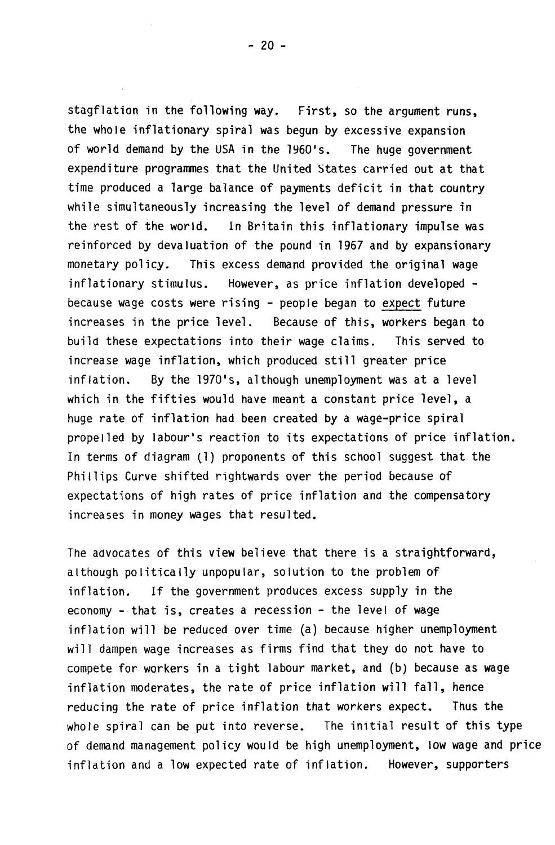stagflation in the following way. First, so the argument runs, the whole inflationary spiral was begun by excessive expansion of world demand by the USA in the 1960's. The huge government expenditure programmes that the United States carried out at that time produced a large balance of payments deficit in that country while simultaneously increasing the level of demand pressure in the rest of the world. In Britain this inflationary impulse was reinforced by devaluation of the pound in 1967 and by expansionary monetary policy. This excess demand provided the original wage inflationary stimulus. However, as price inflation developed because wage costs were rising - people began to expect future increases in the price level. Because of this, workers began to build these expectations into their wage claims. This served to increase wage inflation, which produced still greater price inflation. By the 1970's, although unemployment was at a level which in the fifties would have meant a constant price level, a huge rate of inflation had been created by a wage-price spiral propelled by labour's reaction to its expectations of price inflation. In terms of diagram (1) proponents of this school suggest that the Phillips Curve shifted rightwards over the period because of expectations of high rates of price inflation and the compensatory increases in money wages that resulted.

The advocates of this view believe that there is a straightforward, although politically unpopular, solution to the problem of inflation. If the government produces excess supply in the economy - that is, creates a recession - the level of wage inflation will be reduced over time (a) because higher unemployment will dampen wage increases as firms find that they do not have to compete for workers in a tight labour market, and (b) because as wage inflation moderates, the rate of price inflation will fall, hence reducing the rate of price inflation that workers expect. Thus the whole spiral can be put into reverse. The initial result of this type of demand management policy would be high unemployment, low wage and price inflation and a low expected rate of inflation. However, supporters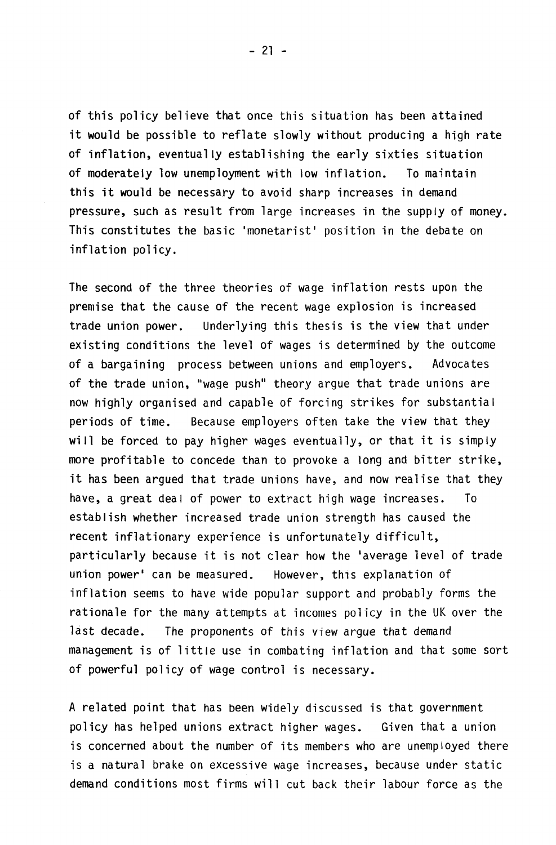of this policy believe that once this situation has been attained it would be possible to reflate slowly without producing a high rate of inflation, eventually establishing the early sixties situation of moderately low unemployment with low inflation. To maintain this it would be necessary to avoid sharp increases in demand pressure, such as result from large increases in the supply of money. This constitutes the basic 'monetarist' position in the debate on inflation policy.

The second of the three theories of wage inflation rests upon the premise that the cause of the recent wage explosion is increased trade union power. Underlying this thesis is the view that under existing conditions the level of wages is determined by the outcome of a bargaining process between unions and employers. Advocates of the trade union, "wage push" theory argue that trade unions are now highly organised and capable of forcing strikes for substantial periods of time. Because employers often take the view that they will be forced to pay higher wages eventually, or that it is simply more profitable to concede than to provoke a long and bitter strike, it has been argued that trade unions have, and now realise that they have, a great deal of power to extract high wage increases. To establish whether increased trade union strength has caused the recent inflationary experience is unfortunately difficult, particularly because it is not clear how the 'average level of trade union power' can be measured. However, this explanation of inflation seems to have wide popular support and probably forms the rationale for the many attempts at incomes policy in the UK over the last decade. The proponents of this view argue that demand management is of little use in combating inflation and that some sort of powerful policy of wage control is necessary.

A related point that has been widely discussed is that government policy has helped unions extract higher wages. Given that a union is concerned about the number of its members who are unemployed there is a natural brake on excessive wage increases, because under static demand conditions most firms will cut back their labour force as the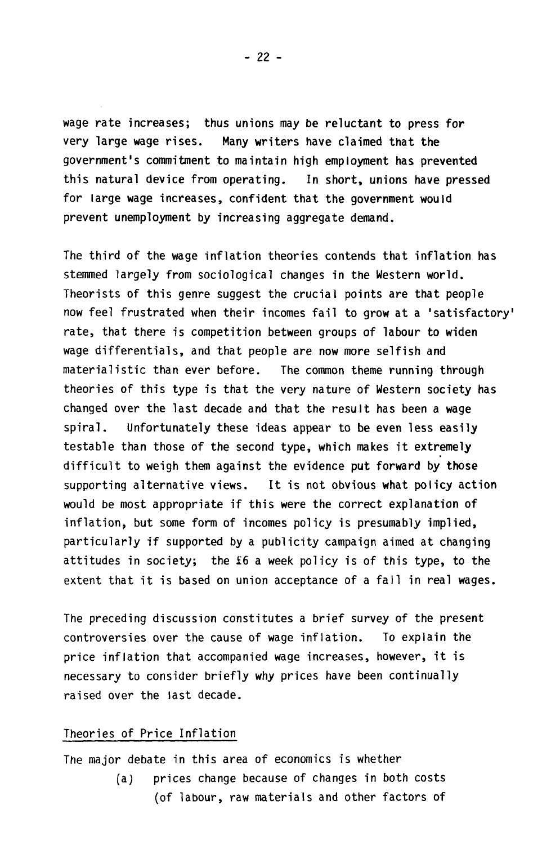**wage rate in**c**reases; thus uni**o**ns may be** r**elu**c**tant t**o **p**r**ess** for **very la**r**ge wage** r**ises. Many w**r**ite**r**s have** c**laimed that the g**o**ve**r**nment's c**o**mmitment t**o **maintain high empl**o**yment has p**r**evented this natural devi**c**e f**ro**m** o**pe**r**ating. In sh**or**t, uni**o**ns have p**r**essed fo**r **la**r**ge wage in**cr**eases,** co**nfident that the g**o**vernment w**o**uld p**r**event unempl**o**yment by in**cr**easing agg**r**egate demand.** 

**The thi**r**d** o**f the wage inflati**o**n the**or**ies c**o**ntends that inflati**o**n has stemmed la**r**gely f**ro**m s**oc**i**o**logi**c**al** c**hanges in the Weste**r**n w**or**ld. The**or**ists** o**f this gen**r**e suggest the c**r**u**c**ial p**o**ints a**r**e that pe**o**ple n**o**w feel f**r**ust**r**ated when thei**r **in**co**mes fail t**o **g**ro**w at a 'satisfa**c**t**or**y'**  r**ate, that the**r**e is** co**mpetiti**o**n between g**ro**ups** o**f lab**o**u**r **t**o **widen wage diffe**r**entials, and that pe**o**ple a**r**e n**o**w m**or**e selfish and mate**r**ialisti**c **than eve**r **bef**o**re. The** co**mm**o**n theme** r**unning th**ro**ugh the**or**ies** o**f this type is that the very natu**r**e** o**f Weste**r**n s**oc**iety has**  c**hanged ove**r **the last de**c**ade and that the** r**esult has been a wage spi**r**al. Unf**or**tunately these ideas appea**r **t**o **be even less easily testable than th**o**se** o**f the se**co**nd type, whi**c**h makes it ext**r**emely diffi**c**ult t**o **weigh them against the eviden**c**e put f**or**wa**r**d by th**o**se suppo**r**ting alte**r**native views. It is n**o**t** o**bvi**o**us what p**o**li**c**y a**c**ti**o**n w**o**uld be m**o**st app**ro**p**r**iate if this we**r**e the** correct **explanati**o**n** o**f inflati**o**n, but s**o**me f**or**m** o**f in**co**mes poli**c**y is p**r**esumably implied, pa**r**ticula**r**ly if supp**or**ted by a publi**c**ity** c**ampaign aimed at** c**hanging attitudes in s**oc**iety; the £6 a week p**o**li**c**y is** o**f this type, t**o **the extent that it is based** o**n uni**o**n a**cc**eptan**c**e** o**f a fall in** r**eal wages.** 

**The p**r**e**c**eding dis**c**ussi**o**n** co**nstitutes a b**r**ief su**r**vey** o**f the p**r**esent**  c**ontrove**r**sies** o**ve**r **the** c**ause** o**f wage inflati**o**n. T**o **explain the p**r**i**c**e inflati**o**n that a**cco**mpanied wage in**cr**eases, h**o**weve**r**, it is ne**c**essa**r**y t**o co**nside**r **b**r**iefly why p**r**i**c**es have been** co**ntinually**  r**aised** o**ve**r **the last de**c**ade.** 

#### **The**or**ies** o**f P**r**i**c**e Inflati**o**n**

**The maj**or **debate in this a**r**ea** o**f e**co**n**o**mi**c**s is whethe**r **(a) p**r**i**c**es** c**hange be**c**ause** o**f** c**hanges in b**o**th** co**sts (**o**f lab**o**u**r**,** r**aw mate**r**ials and** o**the**r **fa**c**t**or**s** o**f** 

**- 22 -**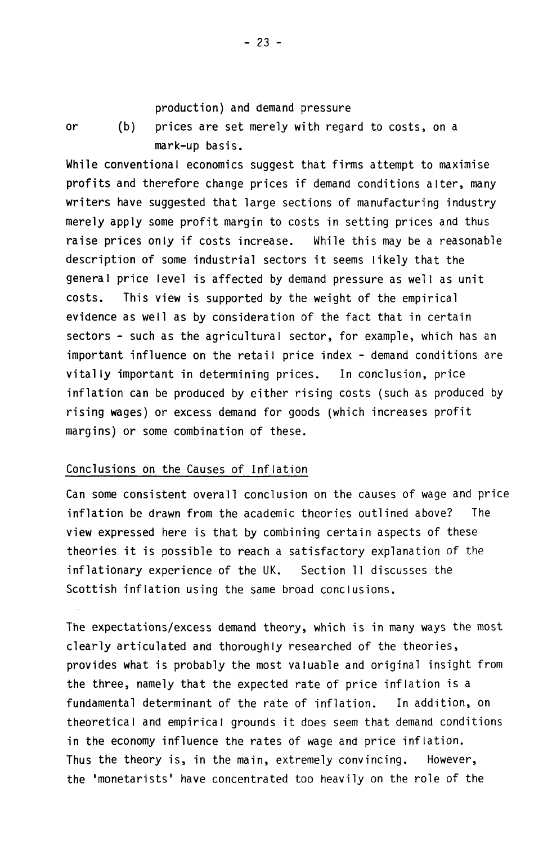#### production) and demand pressure

or (b) prices are set merely with regard to costs, on a mark-up basis.

While conventional economics suggest that firms attempt to maximise profits and therefore change prices if demand conditions alter, many writers have suggested that large sections of manufacturing industry merely apply some profit margin to costs in setting prices and thus raise prices only if costs increase. While this may be a reasonable description of some industrial sectors it seems likely that the general price level is affected by demand pressure as well as unit costs. This view is supported by the weight of the empirical evidence as well as by consideration of the fact that in certain sectors - such as the agricultural sector, for example, which has an important influence on the retail price index - demand conditions are vitally important in determining prices. In conclusion, price inflation can be produced by either rising costs (such as produced by rising wages) or excess demand for goods (which increases profit margins) or some combination of these.

### Conclusions on the Causes of Inflation

Can some consistent overall conclusion on the causes of wage and price inflation be drawn from the academic theories outlined above? The view expressed here is that by combining certain aspects of these theories it is possible to reach a satisfactory explanation of the inflationary experience of the UK. Section 11 discusses the Scottish inflation using the same broad conclusions.

The expectations/excess demand theory, which is in many ways the most clearly articulated and thoroughly researched of the theories, provides what is probably the most valuable and original insight from the three, namely that the expected rate of price inflation is a fundamental determinant of the rate of inflation. In addition, on theoretical and empirical grounds it does seem that demand conditions in the economy influence the rates of wage and price inflation. Thus the theory is, in the main, extremely convincing. However, the 'monetarists' have concentrated too heavily on the role of the

- 23 -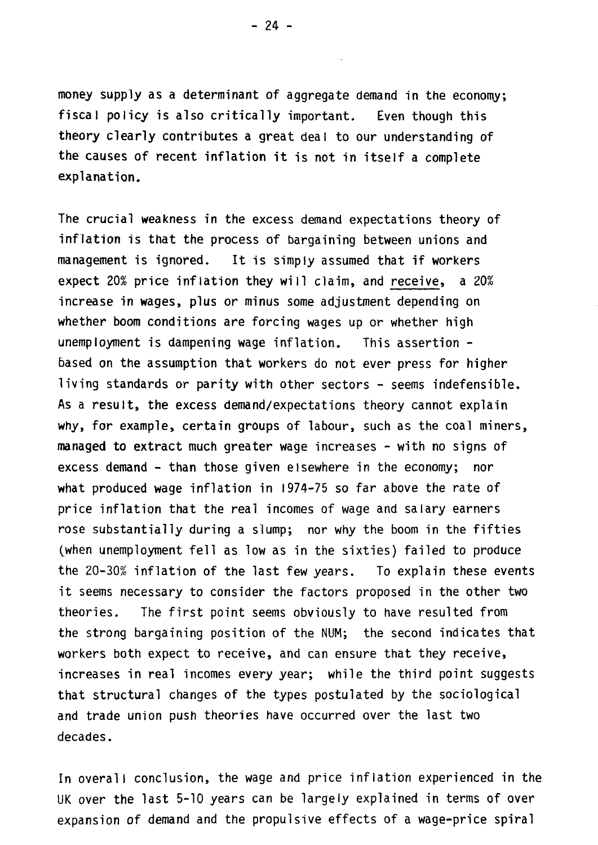money supply as a determinant of aggregate demand in the economy; fiscal policy is also critically important. Even though this theory clearly contributes a great deal to our understanding of the causes of recent inflation it is not in itself a complete explanation.

The crucial weakness in the excess demand expectations theory of inflation is that the process of bargaining between unions and management is ignored. It is simply assumed that if workers expect 20% price inflation they will claim, and receive, a 20% increase in wages, plus or minus some adjustment depending on whether boom conditions are forcing wages up or whether high unemployment is dampening wage inflation. This assertion based on the assumption that workers do not ever press for higher living standards or parity with other sectors - seems indefensible. As a result, the excess demand/expectations theory cannot explain why, for example, certain groups of labour, such as the coal miners, managed to extract much greater wage increases - with no signs of excess demand - than those given elsewhere in the economy; nor what produced wage inflation in 1974-75 so far above the rate of price inflation that the real incomes of wage and salary earners rose substantially during a slump; nor why the boom in the fifties (when unemployment fell as low as in the sixties) failed to produce the 20-30% inflation of the last few years. To explain these events it seems necessary to consider the factors proposed in the other two theories. The first point seems obviously to have resulted from the strong bargaining position of the NUM; the second indicates that workers both expect to receive, and can ensure that they receive, increases in real incomes every year; while the third point suggests that structural changes of the types postulated by the sociological and trade union push theories have occurred over the last two decades.

In overall conclusion, the wage and price inflation experienced in the UK over the last 5-10 years can be largely explained in terms of over expansion of demand and the propulsive effects of a wage-price spiral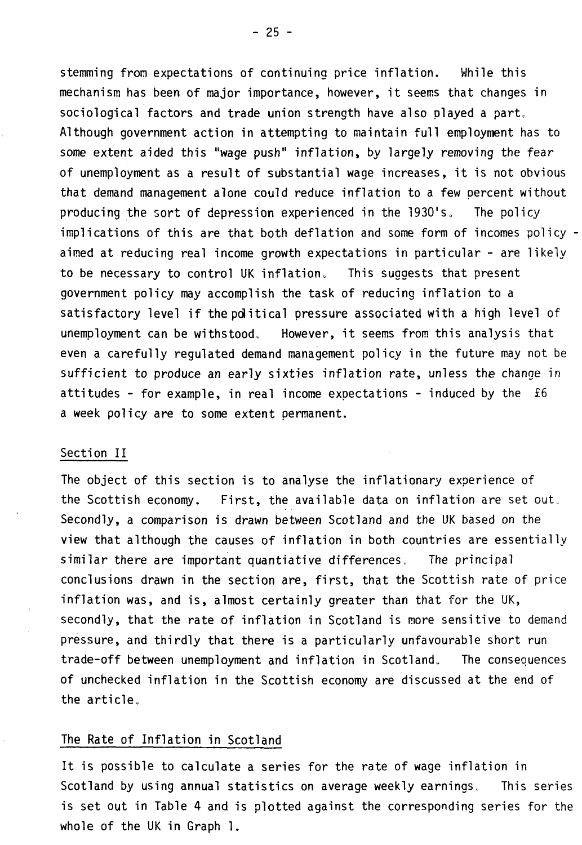stemming from expectations of continuing price inflation. While this mechanism has been of major importance, however, it seems that changes in sociological factors and trade union strength have also played a part. Although government action in attempting to maintain full employment has to some extent aided this "wage push" inflation, by largely removing the fear of unemployment as a result of substantial wage increases, it is not obvious that demand management alone could reduce inflation to a few percent without producing the sort of depression experienced in the 1930's. The policy implications of this are that both deflation and some form of incomes policy aimed at reducing real income growth expectations in particular - are likely to be necessary to control UK inflation. This suggests that present government policy may accomplish the task of reducing inflation to a satisfactory level if the political pressure associated with a high level of unemployment can be withstood. However, it seems from this analysis that even a carefully regulated demand management policy in the future may not be sufficient to produce an early sixties inflation rate, unless the change in attitudes - for example, in real income expectations - induced by the £6 a week policy are to some extent permanent.

#### Section II

The object of this section is to analyse the inflationary experience of the Scottish economy. First, the available data on inflation are set out. Secondly, a comparison is drawn between Scotland and the UK based on the view that although the causes of inflation in both countries are essentially similar there are important quantiative differences. The principal conclusions drawn in the section are, first, that the Scottish rate of price inflation was, and is, almost certainly greater than that for the UK, secondly, that the rate of inflation in Scotland is more sensitive to demand pressure, and thirdly that there is a particularly unfavourable short run trade-off between unemployment and inflation in Scotland. The consequences of unchecked inflation in the Scottish economy are discussed at the end of the article.

#### The Rate of Inflation in Scotland

It is possible to calculate a series for the rate of wage inflation in Scotland by using annual statistics on average weekly earnings. This series is set out in Table 4 and is plotted against the corresponding series for the whole of the UK in Graph 1.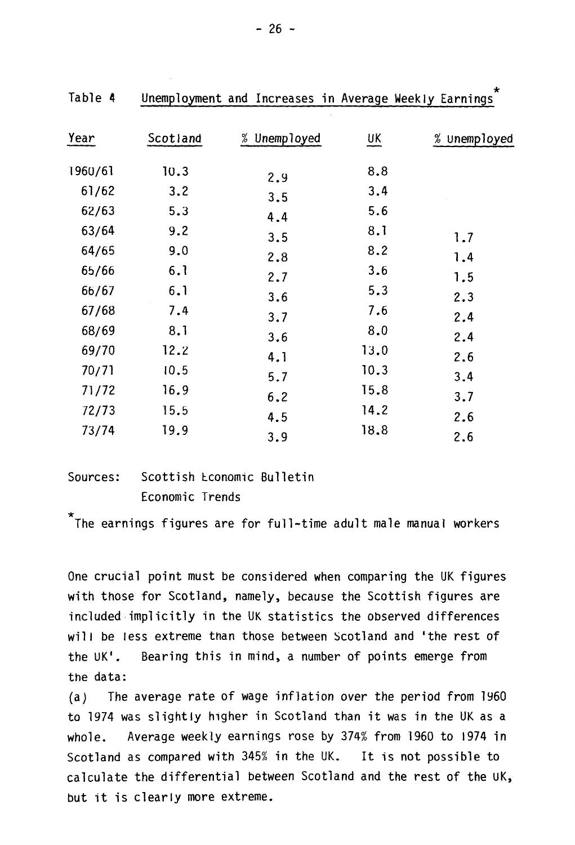| Table 4 |          | Unemployment and Increases in Average Weekly Earnings |      | $\star$      |
|---------|----------|-------------------------------------------------------|------|--------------|
|         |          |                                                       |      |              |
| Year    | Scotland | % Unemployed                                          | UK   | % Unemployed |
| 1960/61 | 10.3     |                                                       | 8.8  |              |
| 61/62   | 3.2      | 2.9                                                   | 3.4  |              |
| 62/63   | 5.3      | 3.5                                                   | 5.6  |              |
| 63/64   | 9.2      | 4.4                                                   | 8.1  |              |
| 64/65   | 9.0      | 3.5<br>2.8                                            | 8.2  | 1.7<br>1.4   |
| 65/66   | 6.1      | 2.7                                                   | 3.6  | 1.5          |
| 66/67   | 6.1      | 3.6                                                   | 5.3  | 2.3          |
| 67/68   | 7.4      | 3.7                                                   | 7.6  | 2.4          |
| 68/69   | 8.1      | 3.6                                                   | 8.0  | 2.4          |
| 69/70   | 12.2     | 4.1                                                   | 13.0 | 2.6          |
| 70/71   | 10.5     | 5.7                                                   | 10.3 | 3.4          |
| 71/72   | 16.9     | 6.2                                                   | 15.8 | 3.7          |
| 72/73   | 15.5     | 4.5                                                   | 14.2 | 2.6          |
| 73/74   | 19.9     | 3.9                                                   | 18.8 | 2.6          |

Sources: Scottish Economic Bulletin Economic Trends

\* The earnings figures are for full-time adult male manual workers

One crucial point must be considered when comparing the UK figures with those for Scotland, namely, because the Scottish figures are included implicitly in the UK statistics the observed differences will be less extreme than those between Scotland and 'the rest of the UK'. Bearing this in mind, a number of points emerge from the data:

(a) The average rate of wage inflation over the period from i960 to 1974 was slightly higher in Scotland than it was in the UK as a whole. Average weekly earnings rose by 374% from 1960 to 1974 in Scotland as compared with 345% in the UK. It is not possible to calculate the differential between Scotland and the rest of the UK, but it is clearly more extreme.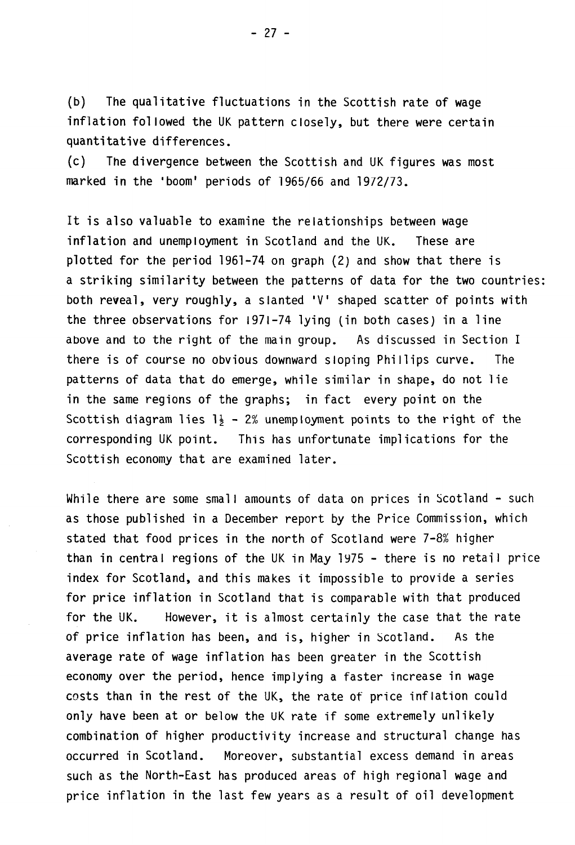(b) The qualitative fluctuations in the Scottish rate of wage inflation followed the UK pattern closely, but there were certain quantitative differences.

(c) The divergence between the Scottish and UK figures was most marked in the 'boom' periods of 1965/66 and 1972/73.

It is also valuable to examine the relationships between wage inflation and unemployment in Scotland and the UK. These are plotted for the period 1961-74 on graph (2) and show that there is a striking similarity between the patterns of data for the two countries: both reveal, very roughly, a slanted 'V' shaped scatter of points with the three observations for 1971-74 lying (in both cases) in a line above and to the right of the main group. As discussed in Section I there is of course no obvious downward sloping Phillips curve. The patterns of data that do emerge, while similar in shape, do not lie in the same regions of the graphs; in fact every point on the Scottish diagram lies  $1\frac{1}{2}$  - 2% unemployment points to the right of the corresponding UK point. This has unfortunate implications for the Scottish economy that are examined later.

While there are some small amounts of data on prices in Scotland - such as those published in a December report by the Price Commission, which stated that food prices in the north of Scotland were 7-8% higher than in central regions of the UK in May 1975 - there is no retail price index for Scotland, and this makes it impossible to provide a series for price inflation in Scotland that is comparable with that produced for the UK. However, it is almost certainly the case that the rate of price inflation has been, and is, higher in Scotland. As the average rate of wage inflation has been greater in the Scottish economy over the period, hence implying a faster increase in wage costs than in the rest of the UK, the rate of price inflation could only have been at or below the UK rate if some extremely unlikely combination of higher productivity increase and structural change has occurred in Scotland. Moreover, substantial excess demand in areas such as the North-East has produced areas of high regional wage and price inflation in the last few years as a result of oil development

- 27 -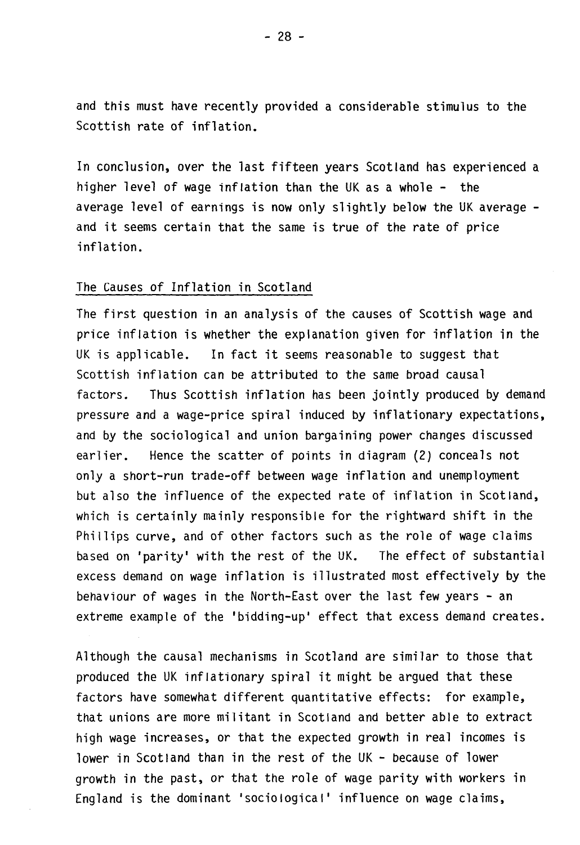and this must have recently provided a considerable stimulus to the Scottish rate of inflation.

In conclusion, over the last fifteen years Scotland has experienced a higher level of wage inflation than the UK as a whole - the average level of earnings is now only slightly below the UK average and it seems certain that the same is true of the rate of price inflation.

#### The Causes of Inflation in Scotland

The first question in an analysis of the causes of Scottish wage and price inflation is whether the explanation given for inflation in the UK is applicable. In fact it seems reasonable to suggest that Scottish inflation can be attributed to the same broad causal factors. Thus Scottish inflation has been jointly produced by demand pressure and a wage-price spiral induced by inflationary expectations, and by the sociological and union bargaining power changes discussed earlier. Hence the scatter of points in diagram (2) conceals not only a short-run trade-off between wage inflation and unemployment but also the influence of the expected rate of inflation in Scotland, which is certainly mainly responsible for the rightward shift in the Phillips curve, and of other factors such as the role of wage claims based on 'parity' with the rest of the UK. The effect of substantial excess demand on wage inflation is illustrated most effectively by the behaviour of wages in the North-East over the last few years - an extreme example of the 'bidding-up' effect that excess demand creates.

Although the causal mechanisms in Scotland are similar to those that produced the UK inflationary spiral it might be argued that these factors have somewhat different quantitative effects: for example, that unions are more militant in Scotland and better able to extract high wage increases, or that the expected growth in real incomes is lower in Scotland than in the rest of the UK - because of lower growth in the past, or that the role of wage parity with workers in England is the dominant 'sociological' influence on wage claims,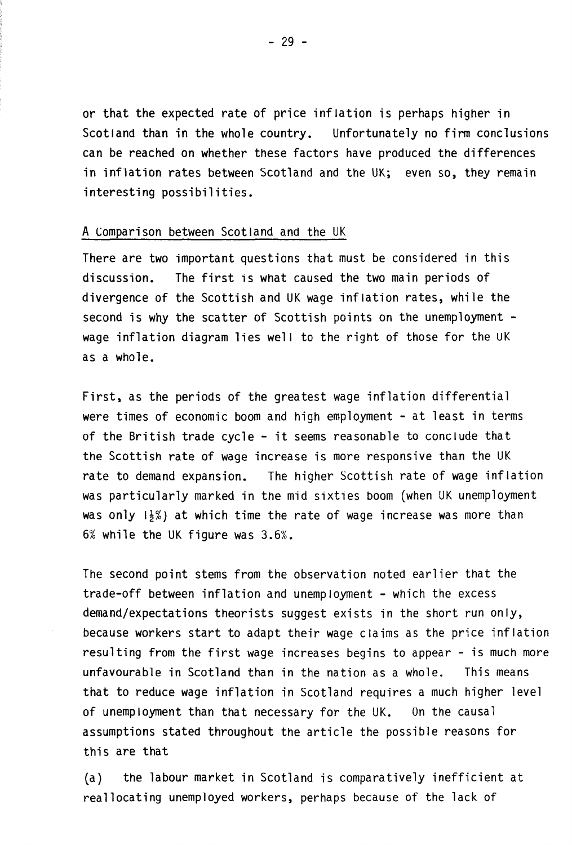or that the expected rate of price inflation is perhaps higher in Scotland than in the whole country. Unfortunately no firm conclusions can be reached on whether these factors have produced the differences in inflation rates between Scotland and the UK; even so, they remain interesting possibilities.

#### A Comparison between Scotland and the UK

There are two important questions that must be considered in this discussion. The first is what caused the two main periods of divergence of the Scottish and UK wage inflation rates, while the second is why the scatter of Scottish points on the unemployment wage inflation diagram lies well to the right of those for the UK as a whole.

First, as the periods of the greatest wage inflation differential were times of economic boom and high employment - at least in terms of the British trade cycle - it seems reasonable to conclude that the Scottish rate of wage increase is more responsive than the UK rate to demand expansion. The higher Scottish rate of wage inflation was particularly marked in the mid sixties boom (when UK unemployment was only  $\{\frac{1}{2}\%$ ) at which time the rate of wage increase was more than 6% while the UK figure was 3.6%.

The second point stems from the observation noted earlier that the trade-off between inflation and unemployment - which the excess demand/expectations theorists suggest exists in the short run only, because workers start to adapt their wage claims as the price inflation resulting from the first wage increases begins to appear - is much more unfavourable in Scotland than in the nation as a whole. This means that to reduce wage inflation in Scotland requires a much higher level of unemployment than that necessary for the UK. On the causal assumptions stated throughout the article the possible reasons for this are that

(a) the labour market in Scotland is comparatively inefficient at reallocating unemployed workers, perhaps because of the lack of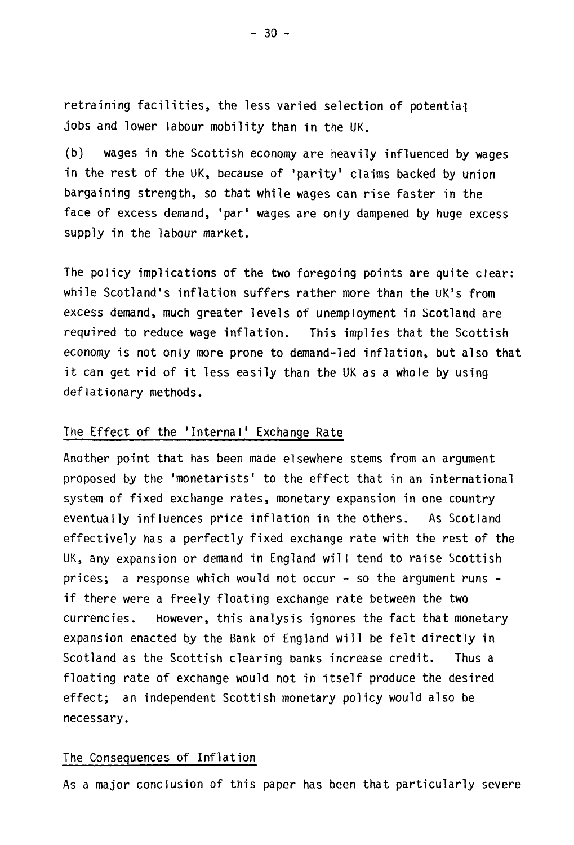retraining facilities, the less varied selection of potential jobs and lower labour mobility than in the UK.

(b) wages in the Scottish economy are heavily influenced by wages in the rest of the UK, because of 'parity' claims backed by union bargaining strength, so that while wages can rise faster in the face of excess demand, 'par' wages are only dampened by huge excess supply in the labour market.

The policy implications of the two foregoing points are quite clear: while Scotland's inflation suffers rather more than the UK's from excess demand, much greater levels of unemployment in Scotland are required to reduce wage inflation. This implies that the Scottish economy is not only more prone to demand-led inflation, but also that it can get rid of it less easily than the UK as a whole by using deflationary methods.

#### The Effect of the 'Internal' Exchange Rate

Another point that has been made elsewhere stems from an argument proposed by the 'monetarists' to the effect that in an international system of fixed exchange rates, monetary expansion in one country eventually influences price inflation in the others. As Scotland effectively has a perfectly fixed exchange rate with the rest of the UK, any expansion or demand in England will tend to raise Scottish prices; a response which would not occur - so the argument runs if there were a freely floating exchange rate between the two currencies. However, this analysis ignores the fact that monetary expansion enacted by the Bank of England will be felt directly in Scotland as the Scottish clearing banks increase credit. Thus a floating rate of exchange would not in itself produce the desired effect; an independent Scottish monetary policy would also be necessary.

#### The Consequences of Inflation

As a major conclusion of this paper has been that particularly severe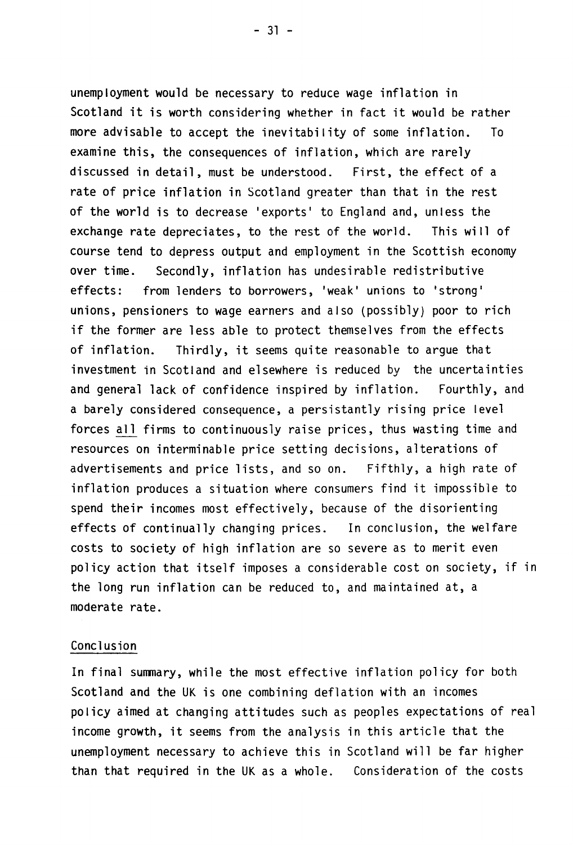unemployment would be necessary to reduce wage inflation in Scotland it is worth considering whether in fact it would be rather more advisable to accept the inevitability of some inflation. To examine this, the consequences of inflation, which are rarely discussed in detail, must be understood. First, the effect of a rate of price inflation in Scotland greater than that in the rest of the world is to decrease 'exports' to England and, unless the exchange rate depreciates, to the rest of the world. This will of course tend to depress output and employment in the Scottish economy over time. Secondly, inflation has undesirable redistributive effects: from lenders to borrowers, 'weak' unions to 'strong' unions, pensioners to wage earners and also (possibly) poor to rich if the former are less able to protect themselves from the effects of inflation. Thirdly, it seems quite reasonable to argue that investment in Scotland and elsewhere is reduced by the uncertainties and general lack of confidence inspired by inflation. Fourthly, and a barely considered consequence, a persistantly rising price level forces all firms to continuously raise prices, thus wasting time and resources on interminable price setting decisions, alterations of advertisements and price lists, and so on. Fifthly, a high rate of inflation produces a situation where consumers find it impossible to spend their incomes most effectively, because of the disorienting effects of continually changing prices. In conclusion, the welfare costs to society of high inflation are so severe as to merit even policy action that itself imposes a considerable cost on society, if in the long run inflation can be reduced to, and maintained at, a moderate rate.

#### Conclusion

In final summary, while the most effective inflation policy for both Scotland and the UK is one combining deflation with an incomes policy aimed at changing attitudes such as peoples expectations of real income growth, it seems from the analysis in this article that the unemployment necessary to achieve this in Scotland will be far higher than that required in the UK as a whole. Consideration of the costs

 $-31 -$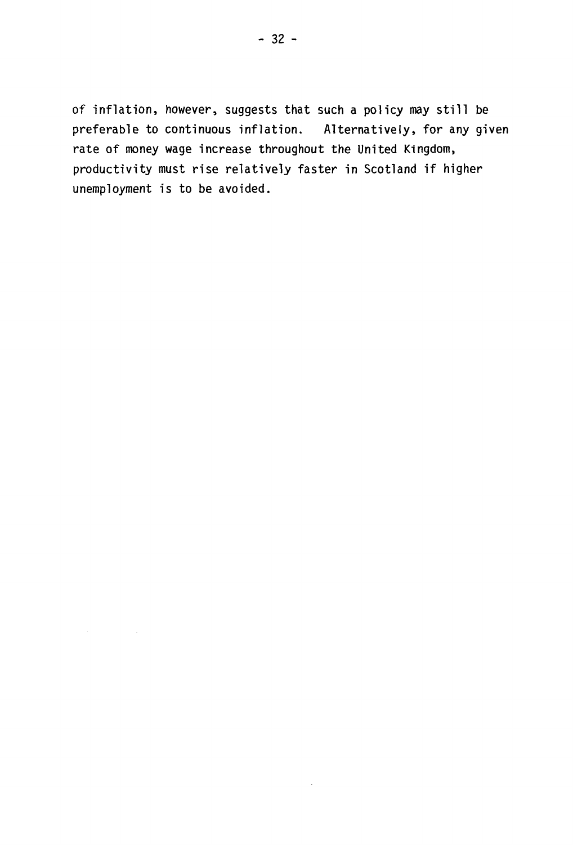of inflation, however, suggests that such a policy may still be preferable to continuous inflation. Alternatively, for any given rate of money wage increase throughout the United Kingdom, productivity must rise relatively faster in Scotland if higher unemployment is to be avoided.

 $\sim 10^7$ 

 $\mathcal{F}(\mathcal{F})$  and  $\mathcal{F}(\mathcal{F})$  . Then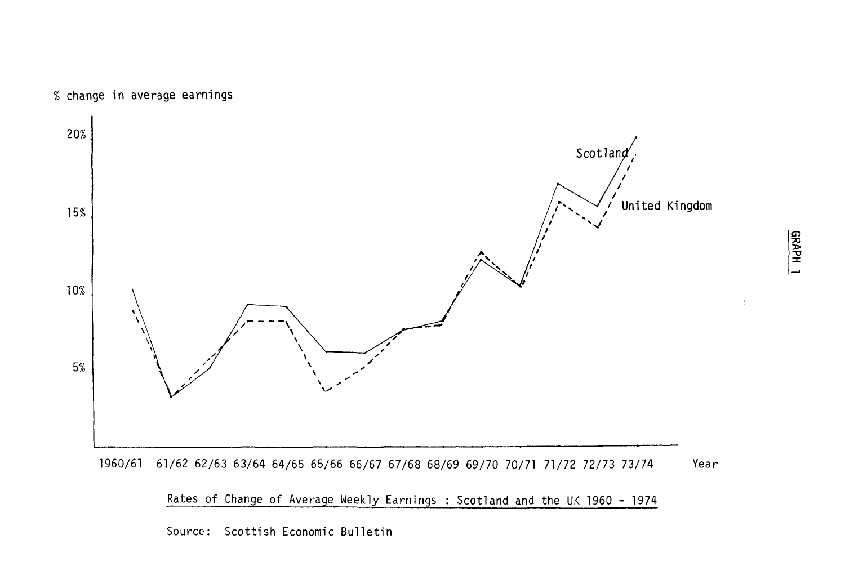

1960/61 61/62 62/63 63/64 64/65 65/66 66/67 67/68 68/69 69/70 70/71 71/7 Year

Rates of Change of Average Weekly Earnings : Scotland and the UK 1960 - 1974

Source: Scottish Economic Bulletin

% change in average earnings

# E HdVB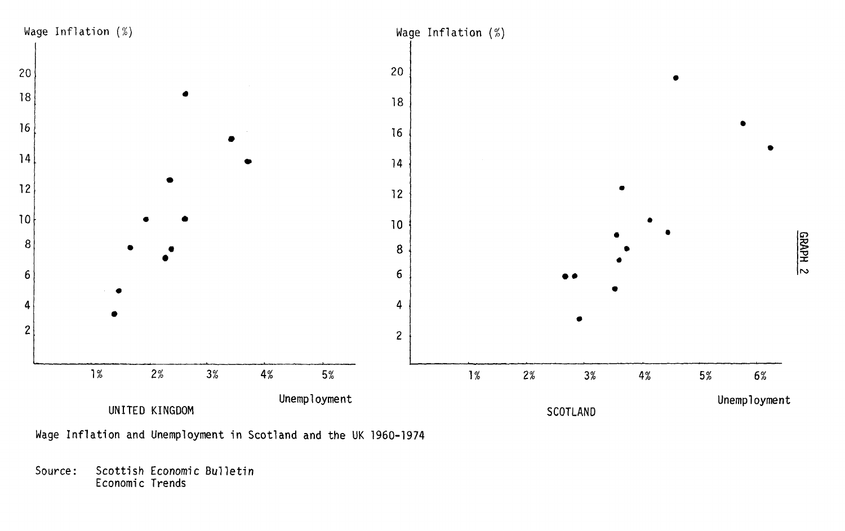



Source: Scottish Economic Bulletin Economic Trends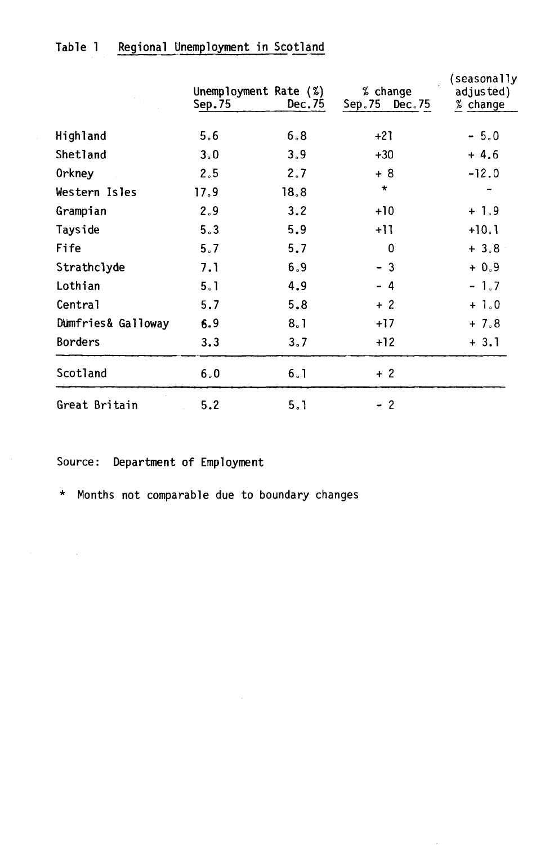|                    | Unemployment Rate $(\%)$<br>Sep.75 | Dec.75 | % change<br>$Sep.75$ $Dec.75$ | (seasonally<br>adjusted)<br>% change |
|--------------------|------------------------------------|--------|-------------------------------|--------------------------------------|
| Highland           | 5.6                                | 6.8    | $+21$                         | $-5.0$                               |
| Shetland           | 3.0                                | 3.9    | $+30$                         | $+4.6$                               |
| Orkney             | 2.5                                | 2.7    | $+8$                          | $-12.0$                              |
| Western Isles      | 17.9                               | 18.8   | $\star$                       |                                      |
| Grampian           | 2.9                                | 3.2    | $+10$                         | $+1.9$                               |
| Tayside            | 5.3                                | 5.9    | $+11$                         | $+10.1$                              |
| Fife               | 5.7                                | 5,7    | 0                             | $+3.8$                               |
| Strathclyde        | 7.1                                | 6.9    | $-3$                          | $+0.9$                               |
| Lothian            | 5.1                                | 4.9    | $-4$                          | $-1.7$                               |
| Central            | 5.7                                | 5.8    | $+2$                          | $+1.0$                               |
| Dumfries& Galloway | 6.9                                | 8.1    | $+17$                         | $+7.8$                               |
| <b>Borders</b>     | 3.3                                | 3.7    | $+12$                         | $+3.1$                               |
| Scotland           | 6.0                                | 6.1    | $+2$                          |                                      |
| Great Britain      | 5.2                                | 5.1    | $-2$                          |                                      |

# Table 1 Regional Unemployment in Scotland

Source: Department of Employment

 $\mathcal{A}^{\text{max}}_{\text{max}}$  and  $\mathcal{A}^{\text{max}}_{\text{max}}$ 

\* Months not comparable due to boundary changes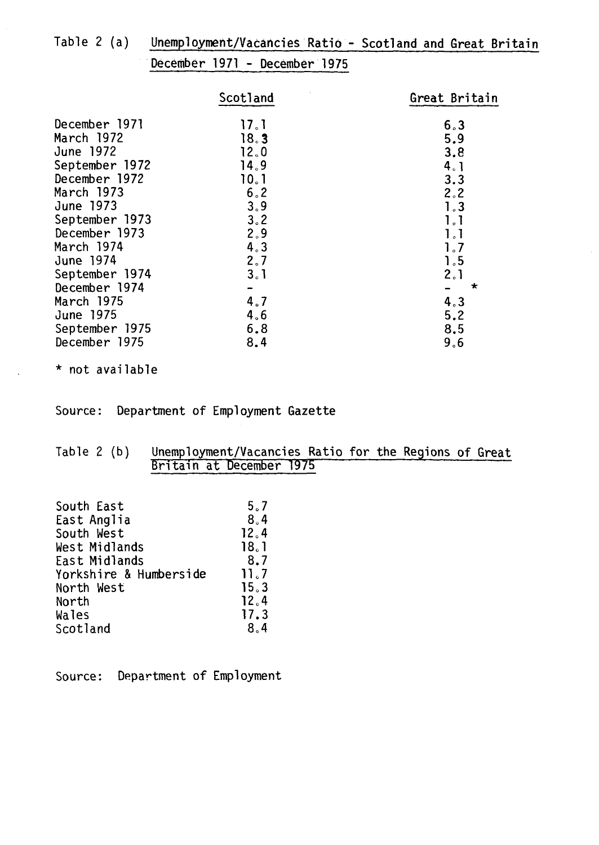| Table $2(a)$ | Unemployment/Vacancies Ratio - Scotland and Great Britain |
|--------------|-----------------------------------------------------------|
|              |                                                           |

#### December 1971 - December 1975

|                | Scotland | Great Britain |
|----------------|----------|---------------|
| December 1971  | 17.1     | 6.3           |
| March 1972     | 18.3     | 5.9           |
| June 1972      | 12.0     | 3,8           |
| September 1972 | 14.9     | 4.1           |
| December 1972  | 10.1     | 3.3           |
| March 1973     | 6.2      | 2.2           |
| June 1973      | 3.9      | 1.3           |
| September 1973 | 3.2      | 1.1           |
| December 1973  | 2.9      | 1.1           |
| March 1974     | 4.3      | 1.7           |
| June 1974      | 2.7      | 1.5           |
| September 1974 | 3.1      | 2.1           |
| December 1974  |          | ∗             |
| March 1975     | 4.7      | 4.3           |
| June 1975      | 4.6      | 5.2           |
| September 1975 | 6.8      | 8.5           |
| December 1975  | 8.4      | 9.6           |

\* not available

 $\overline{a}$ 

Source: Department of Employment Gazette

#### Table 2 (b) Unemployment/Vacancies Ratio for the Regions of Great Britain at December 1975

| South East             | 5.7  |
|------------------------|------|
| East Anglia            | 8.4  |
| South West             | 12.4 |
| West Midlands          | 18.1 |
| East Midlands          | 8.7  |
| Yorkshire & Humberside | 11.7 |
| North West             | 15.3 |
| North                  | 12.4 |
| Wales                  | 17.3 |
| Scotland               | 8.4  |

Source: Department of Employment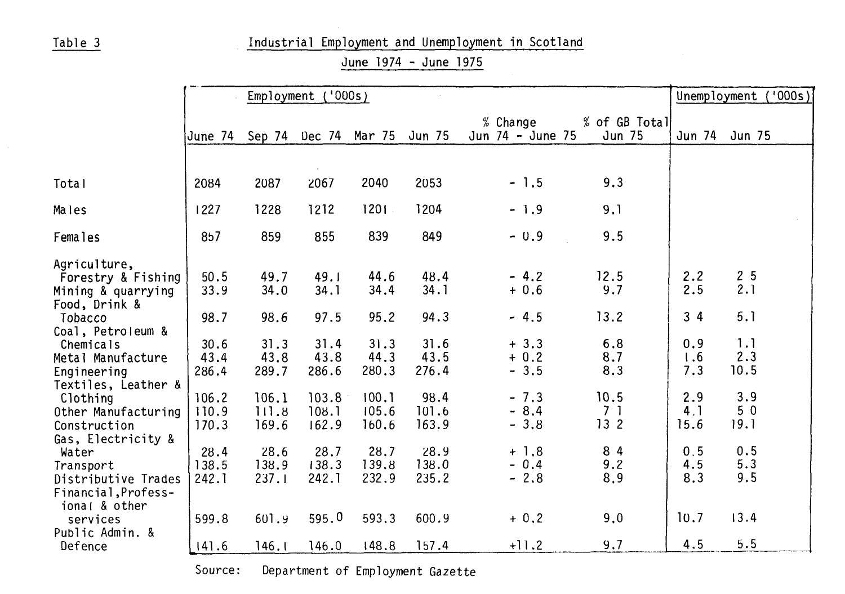Table 3 Industrial Employment and Unemployment in Scotland

June 1974 - June 1975

|                                                                                              | (1000s)<br>Employment   |                         |                         |                         |                        |                              |                               | '000s<br>Unemployment |                       |
|----------------------------------------------------------------------------------------------|-------------------------|-------------------------|-------------------------|-------------------------|------------------------|------------------------------|-------------------------------|-----------------------|-----------------------|
|                                                                                              | June 74                 | Sep 74                  | Dec 74                  | Mar 75 Jun 75           |                        | % Change<br>Jun 74 - June 75 | % of GB Total<br>Jun 75       |                       | Jun 74 Jun 75         |
| Total                                                                                        | 2084                    | 2087                    | 2067                    | 2040                    | 2053                   | $-1,5$                       | 9.3                           |                       |                       |
|                                                                                              |                         |                         |                         |                         |                        |                              |                               |                       |                       |
| Males                                                                                        | 1227                    | 1228                    | 1212                    | $1201 -$                | 1204                   | $-1.9$                       | 9,1                           |                       |                       |
| Females                                                                                      | 857                     | 859                     | 855                     | 839                     | 849                    | $-0.9$                       | 9.5                           |                       |                       |
| Agriculture,<br>Forestry & Fishing<br>Mining & quarrying<br>Food, Drink &                    | 50.5<br>33.9            | 49.7<br>34.0            | 49.1<br>34.1            | 44.6<br>34.4            | 48.4<br>34.1           | $-4.2$<br>$+0.6$             | 12.5<br>9.7                   | 2.2<br>2.5            | 2 <sub>5</sub><br>2.1 |
| Tobacco<br>Coal, Petroleum &                                                                 | 98.7                    | 98.6                    | 97.5                    | 95.2                    | 94.3                   | $-4.5$                       | 13.2                          | 34                    | 5.1                   |
| Chemicals<br>Metal Manufacture<br>Engineering                                                | 30.6<br>43.4<br>286.4   | 31.3<br>43.8<br>289.7   | 31.4<br>43.8<br>286.6   | 31.3<br>44.3<br>280.3   | 31.6<br>43.5<br>276.4  | $+3.3$<br>$+0.2$<br>$-3.5$   | 6,8<br>8.7<br>8.3             | 0.9<br>1.6<br>7.3     | 1.1<br>2.3<br>10.5    |
| Textiles, Leather &<br>Clothing<br>Other Manufacturing<br>Construction<br>Gas, Electricity & | 106.2<br>110.9<br>170.3 | 106.1<br>111.8<br>169.6 | 103.8<br>108.1<br>162.9 | 100.1<br>105.6<br>160.6 | 98.4<br>101.6<br>163.9 | $-7.3$<br>$-8.4$<br>$-3,8$   | 10.5<br>7 <sub>1</sub><br>132 | 2.9<br>4.1<br>15.6    | 3.9<br>50<br>19.1     |
| Water<br>Transport<br>Distributive Trades<br>Financial, Profess-                             | 28.4<br>138.5<br>242.1  | 28.6<br>138.9<br>237.1  | 28.7<br>138.3<br>242.1  | 28.7<br>139.8<br>232.9  | 28.9<br>138.0<br>235.2 | $+1,8$<br>$-0.4$<br>$-2.8$   | 84<br>9.2<br>8,9              | 0.5<br>4.5<br>8.3     | 0.5<br>5.3<br>9.5     |
| ional & other<br>services<br>Public Admin. &                                                 | 599.8                   | 601.9                   | 595.0                   | 593.3                   | 600.9                  | $+0.2$                       | 9,0                           | 10.7                  | 13.4                  |
| Defence                                                                                      | 141.6                   | 146.1                   | 146.0                   | 148.8                   | 157.4                  | $+11.2$                      | 9.7                           | 4.5                   | 5.5                   |

Source: Department of Employment Gazette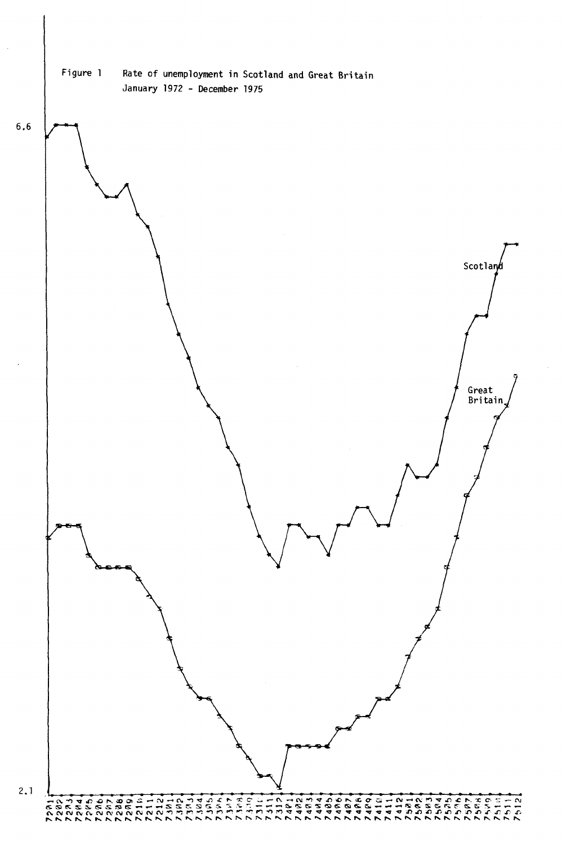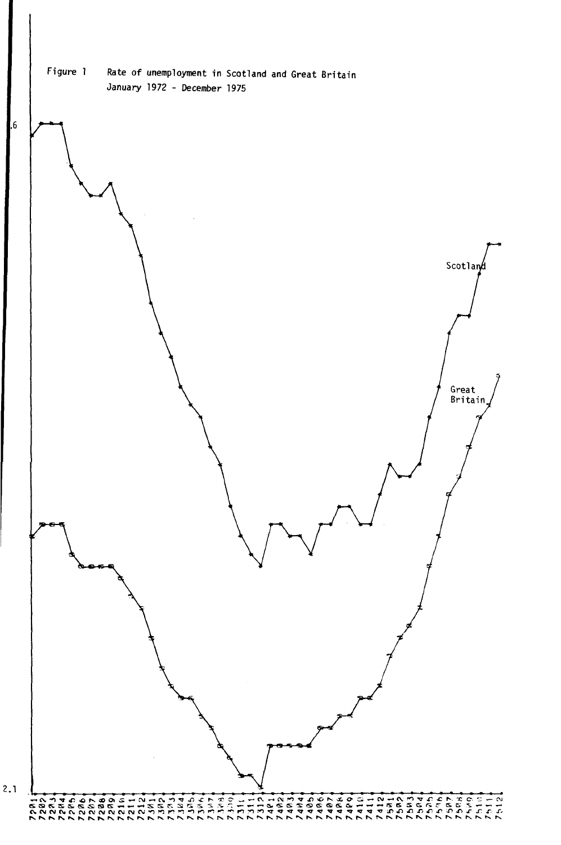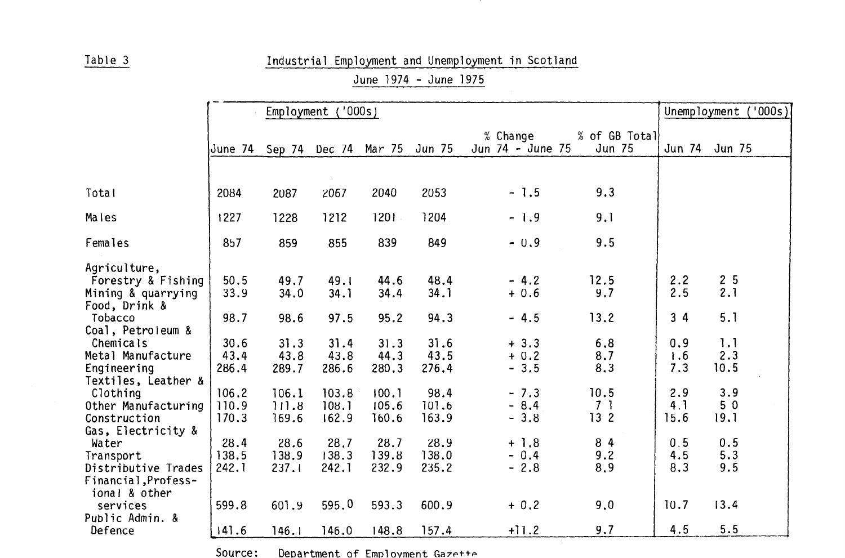# Table 3 Industrial Employment and Unemployment in Scotl

June 1974 - June 1975

|                                          | $'000s$ )<br>Employment |              |              |        |        |                              | $'000s$ )<br>Unemployment |        |                |
|------------------------------------------|-------------------------|--------------|--------------|--------|--------|------------------------------|---------------------------|--------|----------------|
|                                          | June 74                 | Sep 74       | Dec 74       | Mar 75 | Jun 75 | % Change<br>Jun 74 - June 75 | % of GB Total<br>Jun 75   | Jun 74 | Jun 75         |
|                                          |                         |              |              |        |        |                              |                           |        |                |
| Total                                    | 2084                    | 2087         | 2067         | 2040   | 2053   | $-1,5$                       | 9.3                       |        |                |
| Males                                    | 1227                    | 1228         | 1212         | 1201   | 1204   | $-1.9$                       | 9,1                       |        |                |
| <b>Females</b>                           | 857                     | 859          | 855          | 839    | 849    | $-0.9$                       | 9.5                       |        |                |
| Agriculture,                             | 50.5                    |              |              | 44.6   | 48.4   | $-4.2$                       | 12.5                      | 2.2    | 2 <sub>5</sub> |
| Forestry & Fishing<br>Mining & quarrying | 33.9                    | 49.7<br>34.0 | 49.1<br>34.1 | 34.4   | 34.1   | $+0.6$                       | 9.7                       | 2.5    | 2.1            |
| Food, Drink &                            |                         |              |              |        |        |                              |                           |        |                |
| Tobacco<br>Coal, Petroleum &             | 98.7                    | 98.6         | 97.5         | 95.2   | 94.3   | $-4.5$                       | 13.2                      | 34     | 5.1            |
| Chemicals                                | 30.6                    | 31.3         | 31.4         | 31.3   | 31.6   | $+3.3$                       | 6.8                       | 0, 9   | 1.1            |
| Metal Manufacture                        | 43.4                    | 43.8         | 43.8         | 44.3   | 43.5   | $+ 0.2$                      | 8.7                       | 1.6    | 2.3            |
| Engineering<br>Textiles, Leather &       | 286.4                   | 289.7        | 286.6        | 280.3  | 276.4  | $-3.5$                       | 8.3                       | 7.3    | 10.5           |
| Clothing                                 | 106.2                   | 106.1        | 103.8        | 100.1  | 98.4   | $-7.3$                       | 10.5                      | 2.9    | 3.9            |
| Other Manufacturing                      | 110.9                   | 111.8        | 108.1        | 105.6  | 101.6  | $-8.4$                       | 7 <sub>1</sub>            | 4.1    | 50             |
| Construction                             | 170.3                   | 169.6        | 162.9        | 160.6  | 163.9  | $-3.8$                       | $132$                     | 15.6   | 19.1           |
| Gas, Electricity &                       |                         |              |              |        |        |                              |                           |        |                |
| Water                                    | 28.4                    | 28.6         | 28.7         | 28.7   | 28.9   | $+1.8$                       | 84                        | 0.5    | 0.5            |
| Transport                                | 138.5                   | 138.9        | 138.3        | 139.8  | 138.0  | $-0.4$                       | 9.2                       | 4.5    | 5.3            |
| Distributive Trades                      | 242.1                   | 237.1        | 242.1        | 232.9  | 235.2  | $-2.8$                       | 8,9                       | 8.3    | 9.5            |
| Financial, Profess-                      |                         |              |              |        |        |                              |                           |        |                |
| ional & other                            |                         |              |              |        |        |                              |                           |        |                |
| services                                 | 599.8                   | 601.9        | 595.0        | 593.3  | 600.9  | $+ 0.2$                      | 9,0                       | 10.7   | 13.4           |
| Public Admin. &<br>Defence               | 141.6                   | 146.1        | 146.0        | 148.8  | 157.4  | $+11.2$                      | 9.7                       | 4.5    | 5.5            |

Source: Department of Employment Gazette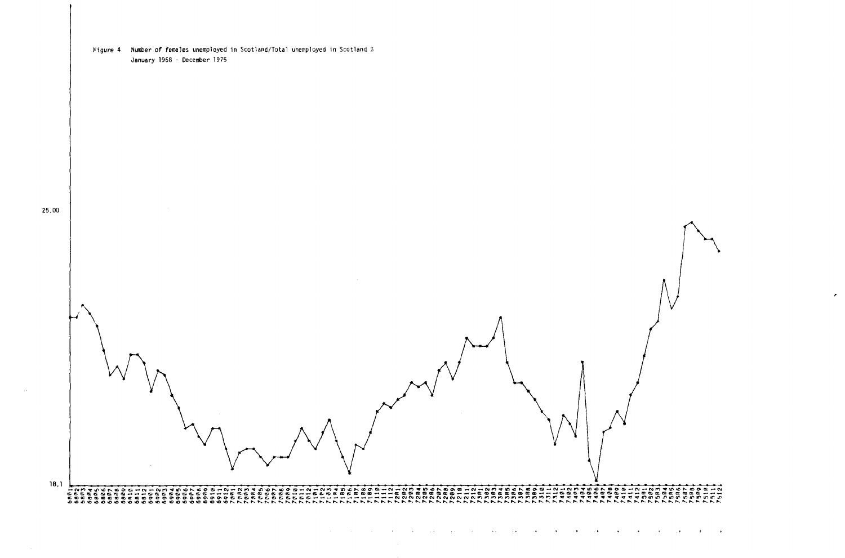

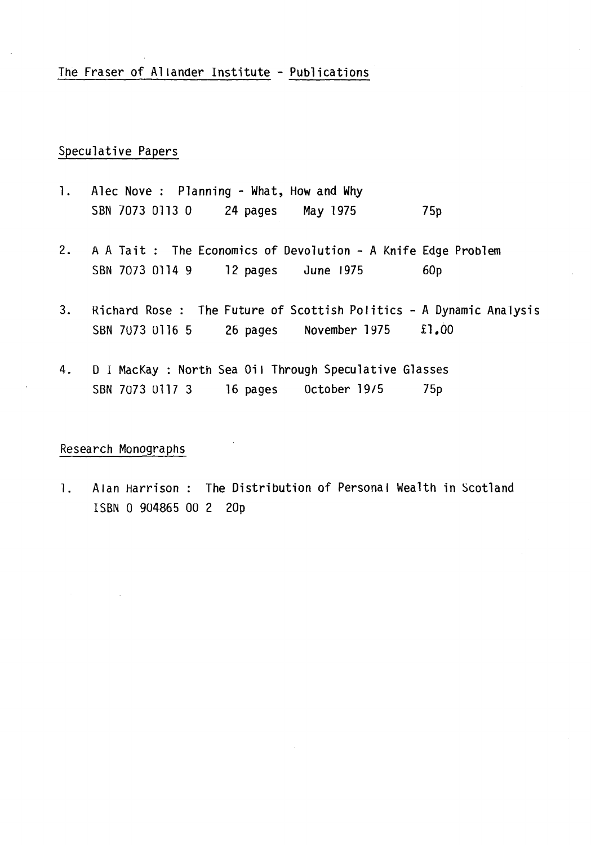The Fraser of Allander Institute - Publications

#### Speculative Papers

- 1. Alec Nove : Planning What, How and Why SBN 7073 0113 0 24 pages May 1975 75p
- 2. A A Tait : The Economics of Devolution A Knife Edge Problem SBN 7073 0114 9 12 pages June 1975 60p
- 3. Richard Rose : The Future of Scottish Politics A Dynamic Analysis SBN 7073 0116 5 26 pages November 1975 £1.00
- 4. D I MacKay : North Sea Oil Through Speculative Glasses SBN 7073 0117 3 16 pages October 19/5 75p

#### Research Monographs

1. Alan Harrison : The Distribution of Personal Wealth in Scotland ISBN 0 904865 00 2 20p